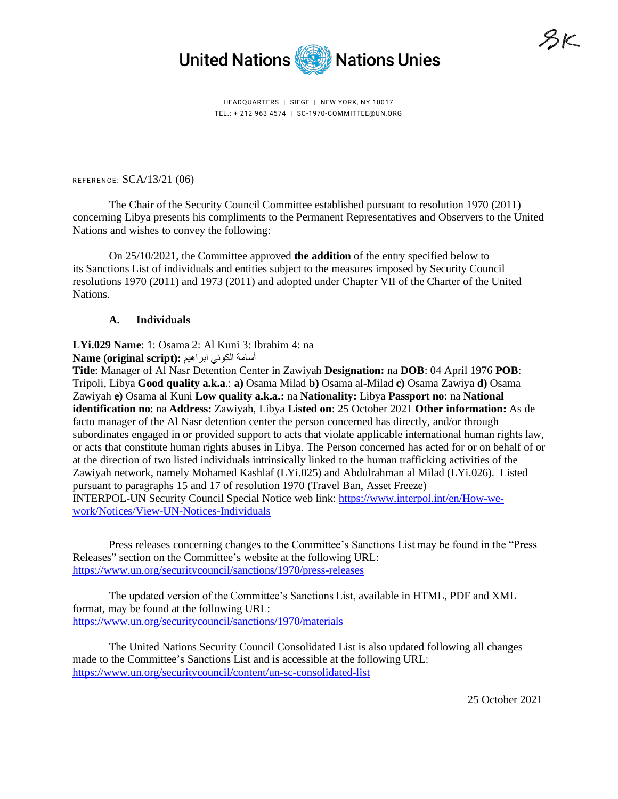

HEADQUARTERS | SIEGE | NEW YORK, NY 10017 TEL.: + 212 963 4574 | SC-1970-COMMITTEE@UN.ORG

REFERENCE: SCA/13/21 (06)

The Chair of the Security Council Committee established pursuant to resolution 1970 (2011) concerning Libya presents his compliments to the Permanent Representatives and Observers to the United Nations and wishes to convey the following:

On 25/10/2021, the Committee approved **the addition** of the entry specified below to its Sanctions List of individuals and entities subject to the measures imposed by Security Council resolutions 1970 (2011) and 1973 (2011) and adopted under Chapter VII of the Charter of the United Nations.

# **A. Individuals**

**LYi.029 Name**: 1: Osama 2: Al Kuni 3: Ibrahim 4: na أسامة الكوني ابراهيم **:** Name (original script)

**Title**: Manager of Al Nasr Detention Center in Zawiyah **Designation:** na **DOB**: 04 April 1976 **POB**: Tripoli, Libya **Good quality a.k.a**.: **a)** Osama Milad **b)** Osama al-Milad **c)** Osama Zawiya **d)** Osama Zawiyah **e)** Osama al Kuni **Low quality a.k.a.:** na **Nationality:** Libya **Passport no**: na **National identification no**: na **Address:** Zawiyah, Libya **Listed on**: 25 October 2021 **Other information:** As de facto manager of the Al Nasr detention center the person concerned has directly, and/or through subordinates engaged in or provided support to acts that violate applicable international human rights law, or acts that constitute human rights abuses in Libya. The Person concerned has acted for or on behalf of or at the direction of two listed individuals intrinsically linked to the human trafficking activities of the Zawiyah network, namely Mohamed Kashlaf (LYi.025) and Abdulrahman al Milad (LYi.026). Listed pursuant to paragraphs 15 and 17 of resolution 1970 (Travel Ban, Asset Freeze) INTERPOL-UN Security Council Special Notice web link[: https://www.interpol.int/en/How-we](https://www.interpol.int/en/How-we-work/Notices/View-UN-Notices-Individuals)[work/Notices/View-UN-Notices-Individuals](https://www.interpol.int/en/How-we-work/Notices/View-UN-Notices-Individuals)

Press releases concerning changes to the Committee's Sanctions List may be found in the "Press Releases" section on the Committee's website at the following URL: <https://www.un.org/securitycouncil/sanctions/1970/press-releases>

The updated version of the Committee's Sanctions List, available in HTML, PDF and XML format, may be found at the following URL: <https://www.un.org/securitycouncil/sanctions/1970/materials>

The United Nations Security Council Consolidated List is also updated following all changes made to the Committee's Sanctions List and is accessible at the following URL: <https://www.un.org/securitycouncil/content/un-sc-consolidated-list>

SSK